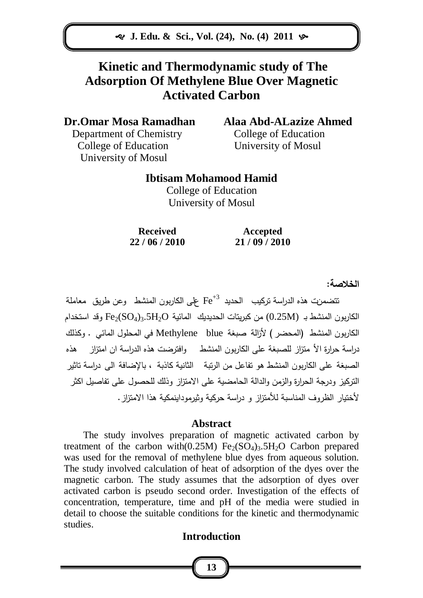**J. Edu. & Sci., Vol. (24), No. (4) 2011** 

# **Kinetic and Thermodynamic study of The Adsorption Of Methylene Blue Over Magnetic Activated Carbon**

**Dr.Omar Mosa Ramadhan Alaa Abd-ALazize Ahmed**

Department of Chemistry College of Education College of Education University of Mosul University of Mosul

### **Ibtisam Mohamood Hamid**

College of Education University of Mosul

**Received Accepted 22 / 06 / 2010 21 / 09 / 2010**

**الخالصة:**

تتضمنت هذه الدراسة تركيب الحديد  $\mathrm{Fe}^{+3}$  على الكاربون المنشط وعن طريق معاملة الكاربون المنشط بـ  $(0.25M)$  من كبريتات الحديديك المائية Fe2(SO4)3.5H2O وقد استخدام الكاربون المنشط )المحضر ( ألزالة صبغة blue Methylene في المحمول المائي . وكذلك دراسة حرارة الأ متزاز للصبغة على الكاربون المنشط وافترضت هذه الدراسة ان امتزاز هذه الصبغة عمى الكاربون المنشط هو تفاعل من الرتبة الثانية كاذبة ، باإلضافة الى دراسة تاثير التركيز ودرجة الحرارة والزمن والدالة الحامضية عمى االمتزاز وذلك لمحصول عمى تفاصيل اكثر ألختيار الظروف المناسبة لألمتزاز و دراسة حركية وثيرموداينمكية هذا االمتزاز.

### **Abstract**

The study involves preparation of magnetic activated carbon by treatment of the carbon with $(0.25M)$  Fe<sub>2</sub>(SO<sub>4</sub>)<sub>3</sub>.5H<sub>2</sub>O Carbon prepared was used for the removal of methylene blue dyes from aqueous solution. The study involved calculation of heat of adsorption of the dyes over the magnetic carbon. The study assumes that the adsorption of dyes over activated carbon is pseudo second order. Investigation of the effects of concentration, temperature, time and pH of the media were studied in detail to choose the suitable conditions for the kinetic and thermodynamic studies.

### **Introduction**

**13**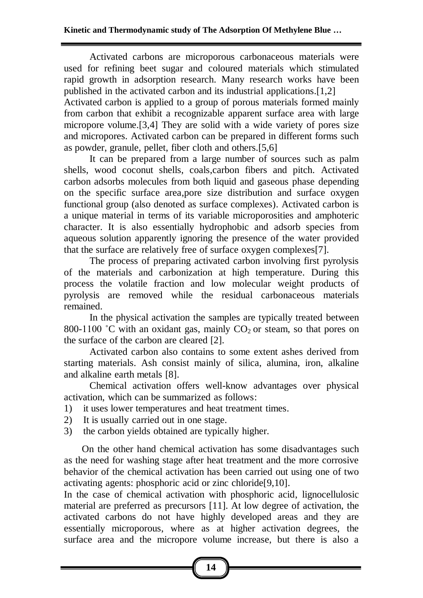Activated carbons are microporous carbonaceous materials were used for refining beet sugar and coloured materials which stimulated rapid growth in adsorption research. Many research works have been published in the activated carbon and its industrial applications.[1,2] Activated carbon is applied to a group of porous materials formed mainly from carbon that exhibit a recognizable apparent surface area with large micropore volume.[3,4] They are solid with a wide variety of pores size and micropores. Activated carbon can be prepared in different forms such as powder, granule, pellet, fiber cloth and others.[5,6]

It can be prepared from a large number of sources such as palm shells, wood coconut shells, coals,carbon fibers and pitch. Activated carbon adsorbs molecules from both liquid and gaseous phase depending on the specific surface area,pore size distribution and surface oxygen functional group (also denoted as surface complexes). Activated carbon is a unique material in terms of its variable microporosities and amphoteric character. It is also essentially hydrophobic and adsorb species from aqueous solution apparently ignoring the presence of the water provided that the surface are relatively free of surface oxygen complexes[7].

The process of preparing activated carbon involving first pyrolysis of the materials and carbonization at high temperature. During this process the volatile fraction and low molecular weight products of pyrolysis are removed while the residual carbonaceous materials remained.

In the physical activation the samples are typically treated between 800-1100 °C with an oxidant gas, mainly  $CO<sub>2</sub>$  or steam, so that pores on the surface of the carbon are cleared [2].

Activated carbon also contains to some extent ashes derived from starting materials. Ash consist mainly of silica, alumina, iron, alkaline and alkaline earth metals [8].

Chemical activation offers well-know advantages over physical activation, which can be summarized as follows:

1) it uses lower temperatures and heat treatment times.

- 2) It is usually carried out in one stage.
- 3) the carbon yields obtained are typically higher.

 On the other hand chemical activation has some disadvantages such as the need for washing stage after heat treatment and the more corrosive behavior of the chemical activation has been carried out using one of two activating agents: phosphoric acid or zinc chloride[9,10].

In the case of chemical activation with phosphoric acid, lignocellulosic material are preferred as precursors [11]. At low degree of activation, the activated carbons do not have highly developed areas and they are essentially microporous, where as at higher activation degrees, the surface area and the micropore volume increase, but there is also a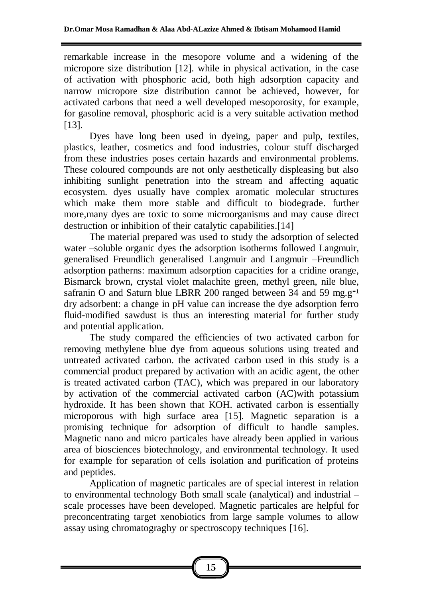remarkable increase in the mesopore volume and a widening of the micropore size distribution [12]. while in physical activation, in the case of activation with phosphoric acid, both high adsorption capacity and narrow micropore size distribution cannot be achieved, however, for activated carbons that need a well developed mesoporosity, for example, for gasoline removal, phosphoric acid is a very suitable activation method [13].

Dyes have long been used in dyeing, paper and pulp, textiles, plastics, leather, cosmetics and food industries, colour stuff discharged from these industries poses certain hazards and environmental problems. These coloured compounds are not only aesthetically displeasing but also inhibiting sunlight penetration into the stream and affecting aquatic ecosystem. dyes usually have complex aromatic molecular structures which make them more stable and difficult to biodegrade. further more,many dyes are toxic to some microorganisms and may cause direct destruction or inhibition of their catalytic capabilities.<sup>[14]</sup>

The material prepared was used to study the adsorption of selected water –soluble organic dyes the adsorption isotherms followed Langmuir, generalised Freundlich generalised Langmuir and Langmuir –Freundlich adsorption patherns: maximum adsorption capacities for a cridine orange, Bismarck brown, crystal violet malachite green, methyl green, nile blue, safranin O and Saturn blue LBRR 200 ranged between 34 and 59 mg.g<sup>-1</sup> dry adsorbent: a change in pH value can increase the dye adsorption ferro fluid-modified sawdust is thus an interesting material for further study and potential application.

The study compared the efficiencies of two activated carbon for removing methylene blue dye from aqueous solutions using treated and untreated activated carbon. the activated carbon used in this study is a commercial product prepared by activation with an acidic agent, the other is treated activated carbon (TAC), which was prepared in our laboratory by activation of the commercial activated carbon (AC)with potassium hydroxide. It has been shown that KOH. activated carbon is essentially microporous with high surface area [15]. Magnetic separation is a promising technique for adsorption of difficult to handle samples. Magnetic nano and micro particales have already been applied in various area of biosciences biotechnology, and environmental technology. It used for example for separation of cells isolation and purification of proteins and peptides.

Application of magnetic particales are of special interest in relation to environmental technology Both small scale (analytical) and industrial – scale processes have been developed. Magnetic particales are helpful for preconcentrating target xenobiotics from large sample volumes to allow assay using chromatograghy or spectroscopy techniques [16].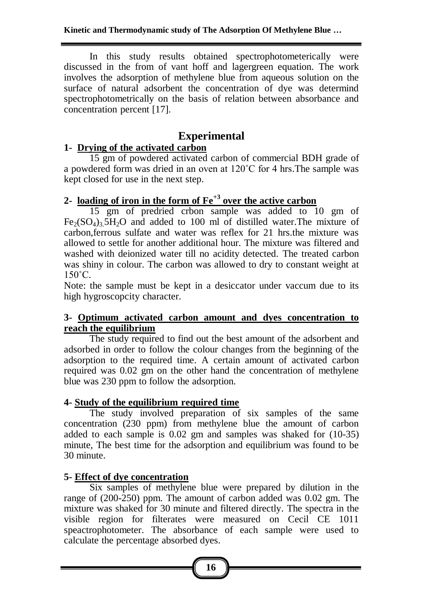In this study results obtained spectrophotometerically were discussed in the from of vant hoff and lagergreen equation. The work involves the adsorption of methylene blue from aqueous solution on the surface of natural adsorbent the concentration of dye was determind spectrophotometrically on the basis of relation between absorbance and concentration percent [17].

## **Experimental**

### **1- Drying of the activated carbon**

15 gm of powdered activated carbon of commercial BDH grade of a powdered form was dried in an oven at 120˚C for 4 hrs.The sample was kept closed for use in the next step.

## **2- loading of iron in the form of Fe+3 over the active carbon**

15 gm of predried crbon sample was added to 10 gm of  $Fe<sub>2</sub>(SO<sub>4</sub>)<sub>3</sub>$  5H<sub>2</sub>O and added to 100 ml of distilled water. The mixture of carbon,ferrous sulfate and water was reflex for 21 hrs.the mixture was allowed to settle for another additional hour. The mixture was filtered and washed with deionized water till no acidity detected. The treated carbon was shiny in colour. The carbon was allowed to dry to constant weight at 150˚C.

Note: the sample must be kept in a desiccator under vaccum due to its high hygroscopcity character.

### **3- Optimum activated carbon amount and dyes concentration to reach the equilibrium**

The study required to find out the best amount of the adsorbent and adsorbed in order to follow the colour changes from the beginning of the adsorption to the required time. A certain amount of activated carbon required was 0.02 gm on the other hand the concentration of methylene blue was 230 ppm to follow the adsorption.

### **4- Study of the equilibrium required time**

The study involved preparation of six samples of the same concentration (230 ppm) from methylene blue the amount of carbon added to each sample is 0.02 gm and samples was shaked for (10-35) minute, The best time for the adsorption and equilibrium was found to be 30 minute.

### **5- Effect of dye concentration**

Six samples of methylene blue were prepared by dilution in the range of (200-250) ppm. The amount of carbon added was 0.02 gm. The mixture was shaked for 30 minute and filtered directly. The spectra in the visible region for filterates were measured on Cecil CE 1011 speactrophotometer. The absorbance of each sample were used to calculate the percentage absorbed dyes.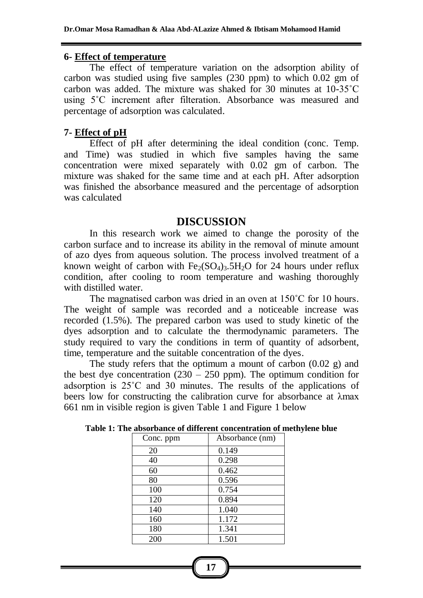#### **6- Effect of temperature**

The effect of temperature variation on the adsorption ability of carbon was studied using five samples (230 ppm) to which 0.02 gm of carbon was added. The mixture was shaked for 30 minutes at 10-35˚C using 5˚C increment after filteration. Absorbance was measured and percentage of adsorption was calculated.

#### **7- Effect of pH**

Effect of pH after determining the ideal condition (conc. Temp. and Time) was studied in which five samples having the same concentration were mixed separately with 0.02 gm of carbon. The mixture was shaked for the same time and at each pH. After adsorption was finished the absorbance measured and the percentage of adsorption was calculated

#### **DISCUSSION**

In this research work we aimed to change the porosity of the carbon surface and to increase its ability in the removal of minute amount of azo dyes from aqueous solution. The process involved treatment of a known weight of carbon with  $Fe<sub>2</sub>(SO<sub>4</sub>)<sub>3</sub>$ .5H<sub>2</sub>O for 24 hours under reflux condition, after cooling to room temperature and washing thoroughly with distilled water.

The magnatised carbon was dried in an oven at 150˚C for 10 hours. The weight of sample was recorded and a noticeable increase was recorded (1.5%). The prepared carbon was used to study kinetic of the dyes adsorption and to calculate the thermodynamic parameters. The study required to vary the conditions in term of quantity of adsorbent, time, temperature and the suitable concentration of the dyes.

The study refers that the optimum a mount of carbon (0.02 g) and the best dye concentration (230 – 250 ppm). The optimum condition for adsorption is 25˚C and 30 minutes. The results of the applications of beers low for constructing the calibration curve for absorbance at λmax 661 nm in visible region is given Table 1 and Figure 1 below

| Conc. ppm | Absorbance (nm) |
|-----------|-----------------|
| 20        | 0.149           |
| 40        | 0.298           |
| 60        | 0.462           |
| 80        | 0.596           |
| 100       | 0.754           |
| 120       | 0.894           |
| 140       | 1.040           |
| 160       | 1.172           |
| 180       | 1.341           |
| 200       | 1.501           |

| Table 1: The absorbance of different concentration of methylene blue |  |
|----------------------------------------------------------------------|--|
|----------------------------------------------------------------------|--|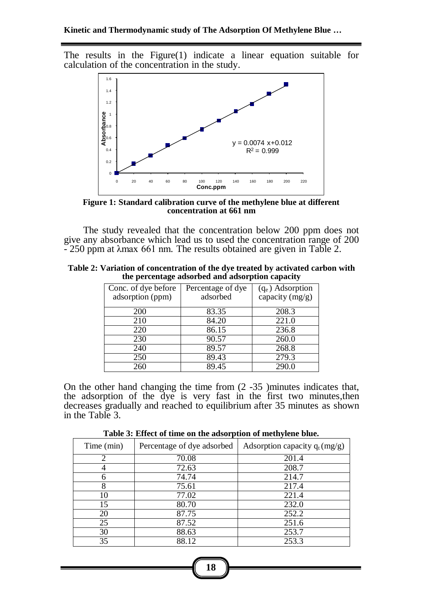The results in the Figure(1) indicate a linear equation suitable for calculation of the concentration in the study.



**Figure 1: Standard calibration curve of the methylene blue at different concentration at 661 nm**

The study revealed that the concentration below 200 ppm does not give any absorbance which lead us to used the concentration range of 200 - 250 ppm at λmax 661 nm. The results obtained are given in Table 2.

| Table 2: Variation of concentration of the dye treated by activated carbon with |
|---------------------------------------------------------------------------------|
| the percentage adsorbed and adsorption capacity                                 |

| Conc. of dye before<br>adsorption (ppm) | Percentage of dye<br>adsorbed | $(q_e)$ Adsorption<br>capacity $(mg/g)$ |
|-----------------------------------------|-------------------------------|-----------------------------------------|
| 200                                     | 83.35                         | 208.3                                   |
| 210                                     | 84.20                         | 221.0                                   |
| 220                                     | 86.15                         | 236.8                                   |
| 230                                     | 90.57                         | 260.0                                   |
| 240                                     | 89.57                         | 268.8                                   |
| 250                                     | 89.43                         | 279.3                                   |
| 260                                     | 89.45                         | 290.C                                   |

On the other hand changing the time from (2 -35 )minutes indicates that, the adsorption of the dye is very fast in the first two minutes,then decreases gradually and reached to equilibrium after 35 minutes as shown in the Table 3.

**Table 3: Effect of time on the adsorption of methylene blue.**

| Time (min)                  | Percentage of dye adsorbed | Adsorption capacity $q_t(mg/g)$ |
|-----------------------------|----------------------------|---------------------------------|
| $\mathcal{D}_{\mathcal{A}}$ | 70.08                      | 201.4                           |
|                             | 72.63                      | 208.7                           |
| 6                           | 74.74                      | 214.7                           |
| 8                           | 75.61                      | 217.4                           |
| 10                          | 77.02                      | 221.4                           |
| 15                          | 80.70                      | 232.0                           |
| 20                          | 87.75                      | 252.2                           |
| 25                          | 87.52                      | 251.6                           |
| 30                          | 88.63                      | 253.7                           |
| 35                          | 88.12                      | 253.3                           |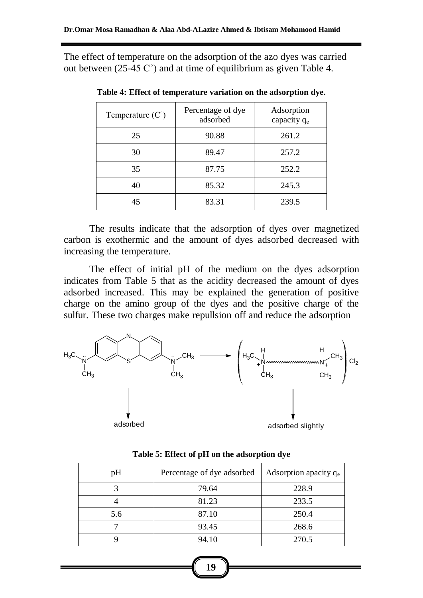The effect of temperature on the adsorption of the azo dyes was carried out between  $(25-45 \, \text{C}^{\circ})$  and at time of equilibrium as given Table 4.

| Temperature $(C^{\circ})$ | Percentage of dye<br>adsorbed | Adsorption<br>capacity $q_e$ |
|---------------------------|-------------------------------|------------------------------|
| 25                        | 90.88                         | 261.2                        |
| 30                        | 89.47                         | 257.2                        |
| 35                        | 87.75                         | 252.2                        |
| 40                        | 85.32                         | 245.3                        |
| 45                        | 83.31                         | 239.5                        |

**Table 4: Effect of temperature variation on the adsorption dye.**

The results indicate that the adsorption of dyes over magnetized carbon is exothermic and the amount of dyes adsorbed decreased with increasing the temperature.

The effect of initial pH of the medium on the dyes adsorption indicates from Table 5 that as the acidity decreased the amount of dyes adsorbed increased. This may be explained the generation of positive charge on the amino group of the dyes and the positive charge of the sulfur. These two charges make repullsion off and reduce the adsorption



| pH  | Percentage of dye adsorbed | Adsorption apacity $q_e$ |
|-----|----------------------------|--------------------------|
|     | 79.64                      | 228.9                    |
|     | 81.23                      | 233.5                    |
| 5.6 | 87.10                      | 250.4                    |
|     | 93.45                      | 268.6                    |
|     | 94.10                      | 270.5                    |

**Table 5: Effect of pH on the adsorption dye**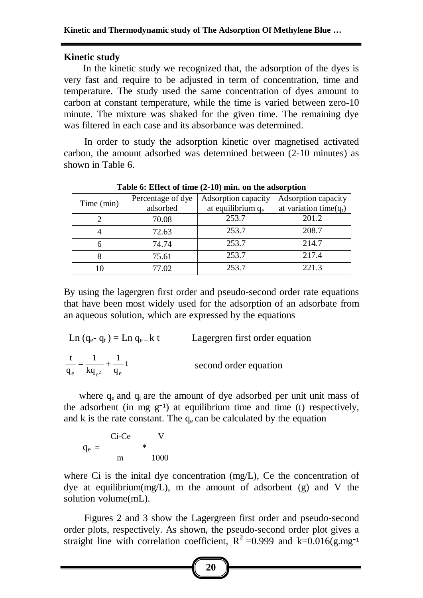#### **Kinetic study**

In the kinetic study we recognized that, the adsorption of the dyes is very fast and require to be adjusted in term of concentration, time and temperature. The study used the same concentration of dyes amount to carbon at constant temperature, while the time is varied between zero-10 minute. The mixture was shaked for the given time. The remaining dye was filtered in each case and its absorbance was determined.

 In order to study the adsorption kinetic over magnetised activated carbon, the amount adsorbed was determined between (2-10 minutes) as shown in Table 6.

| $\sim$ 0.0 $\sim$ $\sim$ 0.0 $\sim$ 0.0 $\sim$ 0.0 $\sim$ 0.0 $\sim$ 0.0 $\sim$ 0.0 $\sim$ 0.0 $\sim$ 0.0 $\sim$ 0.0 $\sim$ |                   |                               |                           |
|-----------------------------------------------------------------------------------------------------------------------------|-------------------|-------------------------------|---------------------------|
| Time (min)                                                                                                                  | Percentage of dye | Adsorption capacity           | Adsorption capacity       |
|                                                                                                                             | adsorbed          | at equilibrium q <sub>e</sub> | at variation time $(q_t)$ |
|                                                                                                                             | 70.08             | 253.7                         | 201.2                     |
|                                                                                                                             | 72.63             | 253.7                         | 208.7                     |
|                                                                                                                             | 74.74             | 253.7                         | 214.7                     |
|                                                                                                                             | 75.61             | 253.7                         | 217.4                     |
|                                                                                                                             | 77.02             | 253.7                         | 2213                      |

**Table 6: Effect of time (2-10) min. on the adsorption**

By using the lagergren first order and pseudo-second order rate equations that have been most widely used for the adsorption of an adsorbate from an aqueous solution, which are expressed by the equations

Ln (q<sub>e</sub>- q<sub>t</sub>) = Ln q<sub>e</sub> = k t  
\n
$$
\frac{t}{q_e} = \frac{1}{kq_{e^2}} + \frac{1}{q_e}t
$$
\nLegendor order equation  
\nsecond order equation

where  $q_e$  and  $q_t$  are the amount of dye adsorbed per unit unit mass of the adsorbent (in mg  $g^{-1}$ ) at equilibrium time and time (t) respectively, and k is the rate constant. The  $q_e$  can be calculated by the equation

$$
q_e = \frac{Ci-Ce}{m} * \frac{V}{1000}
$$

where Ci is the inital dye concentration (mg/L), Ce the concentration of dye at equilibrium(mg/L), m the amount of adsorbent (g) and V the solution volume(mL).

 Figures 2 and 3 show the Lagergreen first order and pseudo-second order plots, respectively. As shown, the pseudo-second order plot gives a straight line with correlation coefficient,  $R^2 = 0.999$  and k=0.016(g.mg<sup>-1</sup>)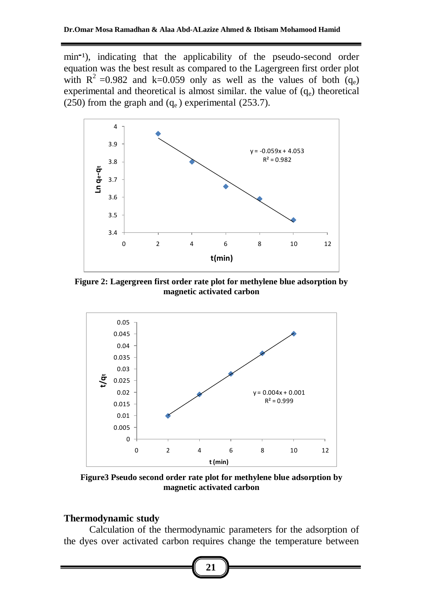min<sup>-1</sup>), indicating that the applicability of the pseudo-second order equation was the best result as compared to the Lagergreen first order plot with  $R^2 = 0.982$  and k=0.059 only as well as the values of both (qe) experimental and theoretical is almost similar, the value of  $(q_e)$  theoretical (250) from the graph and  $(q_e)$  experimental (253.7).



**Figure 2: Lagergreen first order rate plot for methylene blue adsorption by magnetic activated carbon**



**Figure3 Pseudo second order rate plot for methylene blue adsorption by magnetic activated carbon**

### **Thermodynamic study**

Calculation of the thermodynamic parameters for the adsorption of the dyes over activated carbon requires change the temperature between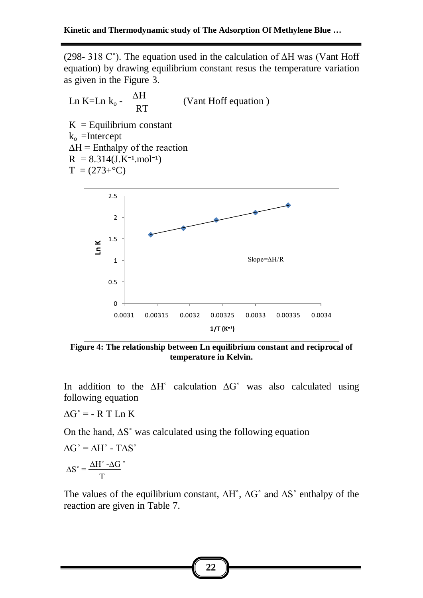(298- 318 C°). The equation used in the calculation of  $\Delta H$  was (Vant Hoff equation) by drawing equilibrium constant resus the temperature variation as given in the Figure 3.

 (Vant Hoff equation )  $K =$  Equilibrium constant  $k_0$  =Intercept  $\Delta H$  = Enthalpy of the reaction  $R = 8.314(J.K^{-1} \text{.} \text{mol}^{-1})$  $T = (273 + °C)$ Slope=∆H/R  $\overline{0}$ 0.5 1 1.5 2 2.5 0.0031 0.00315 0.0032 0.00325 0.0033 0.00335 0.0034 **Ln K**  $1/T (K^{-1})$ ∆H RT Ln  $K=Ln$   $k_o$  -

**Figure 4: The relationship between Ln equilibrium constant and reciprocal of temperature in Kelvin.**

In addition to the ∆H˚ calculation ∆G˚ was also calculated using following equation

 $\Delta G^{\circ}$  = - R T Ln K

On the hand, ∆S˚ was calculated using the following equation

$$
\Delta G^\circ = \Delta H^\circ - T\Delta S^\circ
$$

$$
\Delta S^\circ = \frac{\Delta H^\circ - \Delta G}{T}
$$

The values of the equilibrium constant, ∆H˚, ∆G˚ and ∆S˚ enthalpy of the reaction are given in Table 7.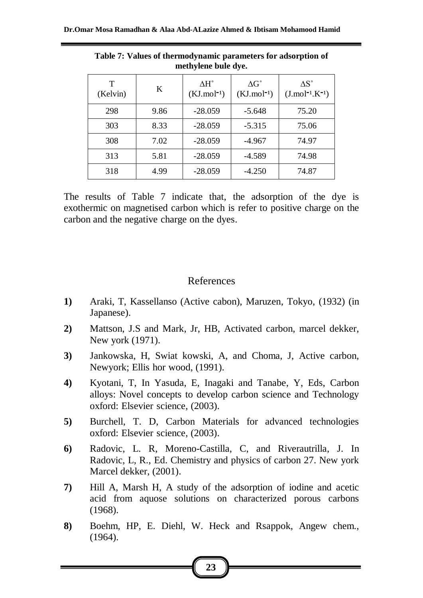| T<br>(Kelvin) | K    | $\Lambda H^{\circ}$<br>$(KJ$ .mol <sup>-1</sup> ) | $\Delta G^{\circ}$<br>$(KJ$ .mol <sup>-1</sup> ) | $\Delta S^{\circ}$<br>$(J.mol^{-1}.K^{-1})$ |
|---------------|------|---------------------------------------------------|--------------------------------------------------|---------------------------------------------|
| 298           | 9.86 | $-28.059$                                         | $-5.648$                                         | 75.20                                       |
| 303           | 8.33 | $-28.059$                                         | $-5.315$                                         | 75.06                                       |
| 308           | 7.02 | $-28.059$                                         | $-4.967$                                         | 74.97                                       |
| 313           | 5.81 | $-28.059$                                         | $-4.589$                                         | 74.98                                       |
| 318           | 4.99 | $-28.059$                                         | $-4.250$                                         | 74.87                                       |

**Table 7: Values of thermodynamic parameters for adsorption of methylene bule dye.**

The results of Table 7 indicate that, the adsorption of the dye is exothermic on magnetised carbon which is refer to positive charge on the carbon and the negative charge on the dyes.

### References

- **1)** Araki, T, Kassellanso (Active cabon), Maruzen, Tokyo, (1932) (in Japanese).
- **2)** Mattson, J.S and Mark, Jr, HB, Activated carbon, marcel dekker, New york (1971).
- **3)** Jankowska, H, Swiat kowski, A, and Choma, J, Active carbon, Newyork; Ellis hor wood, (1991).
- **4)** Kyotani, T, In Yasuda, E, Inagaki and Tanabe, Y, Eds, Carbon alloys: Novel concepts to develop carbon science and Technology oxford: Elsevier science, (2003).
- **5)** Burchell, T. D, Carbon Materials for advanced technologies oxford: Elsevier science, (2003).
- **6)** Radovic, L. R, Moreno-Castilla, C, and Riverautrilla, J. In Radovic, L, R., Ed. Chemistry and physics of carbon 27. New york Marcel dekker, (2001).
- **7)** Hill A, Marsh H, A study of the adsorption of iodine and acetic acid from aquose solutions on characterized porous carbons (1968).
- **8)** Boehm, HP, E. Diehl, W. Heck and Rsappok, Angew chem., (1964).